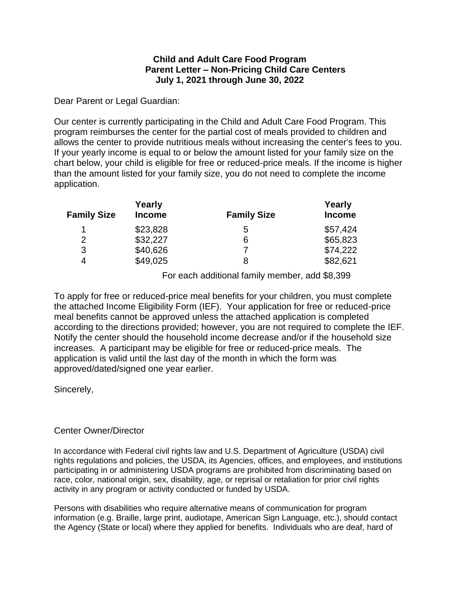## **Child and Adult Care Food Program Parent Letter – Non-Pricing Child Care Centers July 1, 2021 through June 30, 2022**

Dear Parent or Legal Guardian:

Our center is currently participating in the Child and Adult Care Food Program. This program reimburses the center for the partial cost of meals provided to children and allows the center to provide nutritious meals without increasing the center's fees to you. If your yearly income is equal to or below the amount listed for your family size on the chart below, your child is eligible for free or reduced-price meals. If the income is higher than the amount listed for your family size, you do not need to complete the income application.

| <b>Family Size</b> | Yearly<br><b>Income</b> | <b>Family Size</b> | Yearly<br><b>Income</b> |
|--------------------|-------------------------|--------------------|-------------------------|
| 1                  | \$23,828                | 5                  | \$57,424                |
| 2                  | \$32,227                | 6                  | \$65,823                |
| 3                  | \$40,626                |                    | \$74,222                |
| 4                  | \$49,025                | 8                  | \$82,621                |

For each additional family member, add \$8,399

To apply for free or reduced-price meal benefits for your children, you must complete the attached Income Eligibility Form (IEF). Your application for free or reduced-price meal benefits cannot be approved unless the attached application is completed according to the directions provided; however, you are not required to complete the IEF. Notify the center should the household income decrease and/or if the household size increases. A participant may be eligible for free or reduced-price meals. The application is valid until the last day of the month in which the form was approved/dated/signed one year earlier.

Sincerely,

## Center Owner/Director

In accordance with Federal civil rights law and U.S. Department of Agriculture (USDA) civil rights regulations and policies, the USDA, its Agencies, offices, and employees, and institutions participating in or administering USDA programs are prohibited from discriminating based on race, color, national origin, sex, disability, age, or reprisal or retaliation for prior civil rights activity in any program or activity conducted or funded by USDA.

Persons with disabilities who require alternative means of communication for program information (e.g. Braille, large print, audiotape, American Sign Language, etc.), should contact the Agency (State or local) where they applied for benefits. Individuals who are deaf, hard of